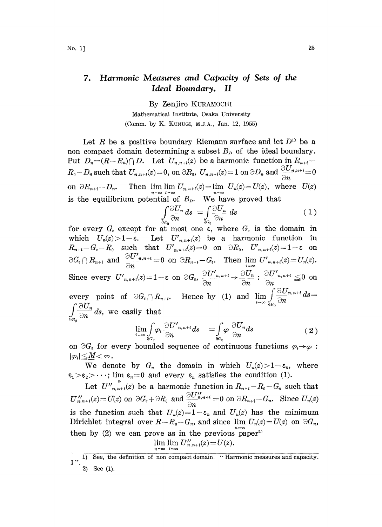## 7. Harmonic Measures and Capacity of Sets of the Ideal Boundary. II

By Zenjiro KURAMOCHI Mathematical Institute, Osaka University (Comm. by K. KUNUGI, M.J.A., Jan. 12, 1955)

Let R be a positive boundary Riemann surface and let  $D^{1}$  be a non compact domain determining a subset  $B_p$  of the ideal boundary. Put  $D_n=(R-R_n)\cap D$ . Let  $U_{n,n+i}(z)$  be a harmonic function in  $R_{n+i}$ -Put  $D_n = (R - R_n) \cap D$ . Let  $U_{n,n+i}(z)$  be a harmonic function in  $R_0 - D_n$  such that  $U_{n,n+i}(z) = 0$ , on  $\partial R_0$ ,  $U_{n,n+i}(z) = 1$  on  $\partial D_n$  and  $\frac{\partial U}{\partial n}$ on  $\partial R_{n+i}-D_n$ . Then lim  $\lim_{n\to\infty} U_{n,n+i}(z)=\lim_{n\to\infty} U_n(z)=U(z)$ , where  $U(z)$ is the equilibrium potential of  $B_p$ . We have proved that

$$
\int_{\frac{\partial R_0}{\partial n}} \frac{\partial U_n}{\partial n} ds = \int_{\frac{\partial Q_e}{\partial n}} \frac{\partial U_n}{\partial n} ds \tag{1}
$$

for every  $G_{\varepsilon}$  except for at most one  $\varepsilon$ , where  $G_{\varepsilon}$  is the domain in which  $U_n(z) > 1 - \varepsilon$ . Let  $U'_{n,n+i}(z)$  be a harmonic function in  $R_{n+i} - G_{\varepsilon} - R_0$  such that  $U'_{n,n+i}(z) = 0$  on  $\partial R_0$ ,  $U'_{n,n+i}(z) = 1-\varepsilon$  on  $\partial G_{\varepsilon}\cap R_{n+i}$  and  $\frac{\partial U'_{n,n+i}}{\partial n}=0$  on  $\partial R_{n+i}-G_{\varepsilon}$ . Then  $\lim_{i\to\infty} U'_{n,n+i}(z)=U_{n}(z).$  $\sigma G_{\epsilon} + R_{n+i}$  and  $\frac{G_{n}}{\partial n}$  and  $\sigma G_{n+i} = 0$  on  $\sigma R_{n+i} - G_{\epsilon}$ . Then  $\lim_{i \to \infty} U_{n,n}$ ,  $\sigma_{n,n-i}$ <br>Since every  $U'_{n,n+i}(z) = 1 - \epsilon$  on  $\partial G_{\epsilon}$ ,  $\frac{\partial U'_{n,n+i}}{\partial x} \to \frac{\partial U_n}{\partial x}$  :  $\frac{\partial U}{\partial x}$  $\frac{\partial U'_{n,n+i}}{\partial n} \rightarrow \frac{\partial U_n}{\partial n} : \frac{\partial U'_{n,n+i}}{\partial n} \leq 0$  on every point of  $\partial G_{\epsilon} \cap R_{n+i}$ . Hence by (1) and  $\lim_{i=-\infty} \int_{\partial R_i} \frac{\partial U_{n,n+i}}{\partial n} ds =$  $\frac{\partial \mathcal{L}_m}{\partial n} ds$ , we easily that<br> $\lim_{n \to \infty} \int \varphi_t$  $\frac{J}{\partial R}$ 

$$
\lim_{i \to \infty} \int\limits_{\partial G_{\varepsilon}} \varphi_i \, \frac{\partial U'_{n,n+i}}{\partial n} ds \quad = \int\limits_{\partial G_{\varepsilon}} \varphi \, \frac{\partial U_n}{\partial n} ds \tag{2}
$$

on  $\partial G_{\varepsilon}$  for every bounded sequence of continuous functions  $\varphi_i \rightarrow \varphi : |\varphi_i| \leq M < \infty$ .

We denote by  $G_n$  the domain in which  $U_n(z) > 1 - \varepsilon_n$ , where  $\varepsilon_1>\varepsilon_2>\cdots$ ; lim  $\varepsilon_n=0$  and every  $\varepsilon_n$  satisfies the condition (1).

Let  $U''_{n,n+t}(z)$  be a harmonic function in  $R_{n+t}-R_0-G_n$  such that Let  $U_{n,n+i}(z)$  be a narmonic function in  $L_{n+i} - L_0 - G_n$  such that<br>  $U_{n,n+i}'(z) = U(z)$  on  $\partial G_z + \partial R_0$  and  $\frac{\partial U_{n,n+i}''}{\partial n} = 0$  on  $\partial R_{n+i} - G_n$ . Since  $U_n(z)$ is the function such that  $U_n(z)=1-\varepsilon_n$  and  $U_n(z)$  has the minimum Dirichlet integral over  $R-R_0-G_n$ , and since  $\lim U_n(z)=U(z)$  on  $\partial G_n$ , then by (2) we can prove as in the previous paper<br> $\lim_{n \to \infty} \lim_{n \to \infty} V''_{n,n+i}(z) = U(z)$ .

$$
\lim_{n\to\infty}\lim_{i\to\infty}U''_{n,n+i}(z)=U(z).
$$

<sup>1)</sup> See, the definition of non compact domain. "Harmonic measures and capacity. 2) See (1).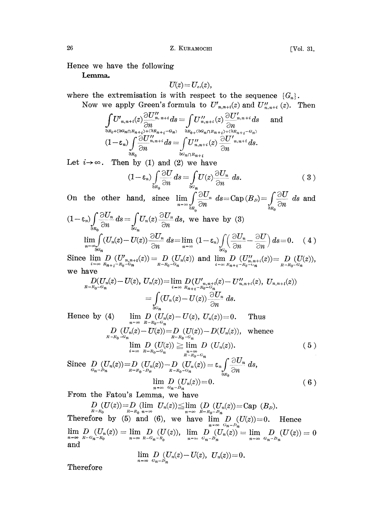Lemma.

$$
U(z)\!=\!U_{\scriptscriptstyle ex}(z),
$$

where the extremisation is with respect to the sequence  $\{G_n\}.$ Now we apply Green's formula to  $U'_{n,n+i}(z)$  and  $U''_{n,n+i}(z)$ . Then

$$
\int_{\partial R_0 + (\partial G_n \cap R_{n+i}) + (\partial R_{n+i} - G_n)} U''_{n,n+i}(z) \frac{\partial U'_{n,n+i}}{\partial n} ds \quad \text{and}
$$
\n
$$
(1 - \varepsilon_n) \int_{\partial R_0} \frac{\partial U''_{n,n+i}}{\partial n} ds = \int_{\partial G_n \cap R_{n+i}} U''_{n,n+i}(z) \frac{\partial U'_{n,n+i}}{\partial n} ds.
$$
\n
$$
(1 - \varepsilon_n) \int_{\partial R_0} \frac{\partial U''_{n,n+i}}{\partial n} ds = \int_{\partial G_n \cap R_{n+i}} U''_{n,n+i}(z) \frac{\partial U'_{n,n+i}}{\partial n} ds.
$$

Let  $i \rightarrow \infty$ . Then by (1) and (2) we have

$$
(1 - \varepsilon_n) \int_{\partial R_0} \frac{\partial U}{\partial n} ds = \int_{\partial G_n} U(z) \frac{\partial U_n}{\partial n} ds.
$$
 (3)

On the other hand, since  $\lim_{n \to \infty} \int_{\frac{\partial F_n}{\partial n}}^{\frac{\partial F_n}{\partial n}} ds = \text{Cap}(B_n) = \int_{\frac{\partial F_n}{\partial n}} \frac{\partial U_n}{\partial n}$  $ds$  and  $\frac{J}{\partial R_0}$  and  $\frac{J}{\partial R_0}$ 

$$
(-\varepsilon_n)\int_{\partial R_0} \overline{\partial n} ds = \int_{\partial G_n} U_n(z) \overline{\partial n} ds, \text{ we have by (3)}
$$
  

$$
\lim_{n \to \infty} \int_{\partial G_n} (U_n(z) - U(z)) \overline{\partial U_n} ds = \lim_{n \to \infty} (1 - \varepsilon_n) \int_{\partial G_0} \left(\frac{\partial U_n}{\partial n} - \frac{\partial U}{\partial n}\right) ds = 0. \quad (4)
$$

Since  $\lim_{i \to \infty} D_i(U'_{n,n+i}(z)) = D_{n-R_0-G_n}(U_n(z))$  and  $\lim_{i \to \infty} D_{n}U''_{n,n+i}(z) = D_{n-R_0-G_n}(U(z)),$ we have

$$
D(U_n(z) - U(z), U_n(z)) = \lim_{i \to \infty} D(U'_{n,n+i}(z) - U''_{n,n+i}(z), U_{n,n+i}(z))
$$
  
= 
$$
\int_{\partial G_n} (U_n(z) - U(z)) \frac{\partial U_n}{\partial n} ds.
$$

Hence by (4) lim  $D\left(U_n(z)-U(z), U_n(z)\right)=0$ . Thus  $n=\infty$   $R-R_0-G_n$  $D_{R-R_0-G_n} (U_n(z) - U(z)) = D_{R-R_0-G_n} (U(z)) - D(U_n(z)),$  whence  $\lim D (U(z)) \geq \lim D (U_n(z)).$  $i=\infty$   $R-R_0-G_n$   $n=\infty$ <br> $R-R_0-G_n$ Since  $D_{G_n-D_n}(U_n(z))=D_{R-R_0-D_n}(U_n(z))-D_{R-R_0-C_n}(U_n(z))=\varepsilon_n\int\frac{\partial U_n}{\partial x}\,ds,$  $(5)$ 

$$
\lim_{n \to \infty} \frac{D}{a_n - b_n} \left( \frac{U_n(z)}{U_n(z)} \right) = 0. \tag{6}
$$

From the Fatou's Lemma, we have

 $D_{R-R_0}(U(z))=D_{R-R_0}(\lim_{n\to\infty} U_n(z))\leq \lim_{n\to\infty} (D_{R-R_0} (U_n(z))=Cap (B_D)).$ <br>Therefore by (5) and (6), we have  $\lim_{n\to\infty} D_{R}(U(z))=0$ . Hence  $\lim_{n\to\infty}\frac{D}{\frac{R-G_n-R_0}{R}}(U_n(z))=\lim_{n\to\infty}\frac{D}{\frac{R-G_n-R_0}{R}}(U(z)), \ \ \lim_{n\to\infty}\frac{D}{G_n-D_n}(U_n(z))=\lim_{n\to\infty}\frac{D}{G_n-D_n}(U(z))=0$ and

$$
\lim_{n=\infty}\underset{G_n-D_n}{D}(U_n(z)-U(z), U_n(z))=0.
$$

Therefore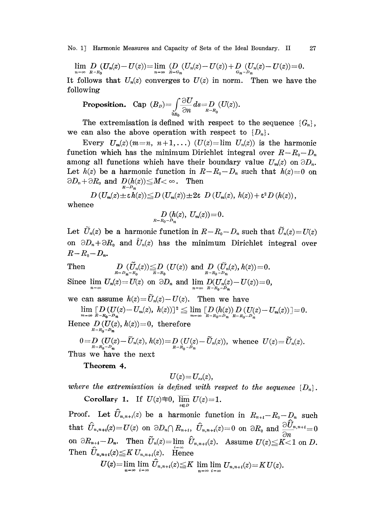No. 1] Harmonic Measures and Capacity of Sets of the Ideal Boundary. II 27

$$
\lim_{n = \infty} D_{n-R_0}(U_n(z) - U(z)) = \lim_{n = \infty} (D_{n}(U_n(z) - U(z)) + D_{G_n-D_n}(U_n(z) - U(z)) = 0.
$$

It follows that  $U_n(z)$  converges to  $U(z)$  in norm. Then we have the following

wing  
Proposition. Cap 
$$
(B_D) = \int_{\partial B_0} \frac{\partial U}{\partial n} ds = D_{R-R_0}(U(z)).
$$

The extremisation is defined with respect to the sequence  ${G_n}$ , we can also the above operation with respect to  $\{D_n\}.$ 

Every  $U_m(z)(m=n, n+1,...)$   $(U(z)=\lim U_n(z))$  is the harmonic function which has the minimum Dirichlet integral over  $R-R_0-D_n$ . among all functions which have their boundary value  $U_m(z)$  on  $\partial D_n$ . Let  $h(z)$  be a harmonic function in  $R-R_0-D_n$  such that  $h(z)=0$  on  $\partial D_n + \partial R_0$  and  $D(h(z)) \leq M < \infty$ . Then

$$
D\left(U_m(z)\pm \varepsilon \, h(z)\right)\leq D\left(U_m(z)\right)\pm 2\varepsilon\ D\left(U_m(z),\ h(z)\right)+\varepsilon^2\, D\left(h(z)\right),
$$
 whence

$$
D_{R-R_0-D_n} (h(z), U_m(z)) = 0.
$$

Let  $\widetilde{U}_n(z)$  be a harmonic function in  $R-R_0-D_n$  such that  $\widetilde{U}_n(z)=U(z)$ on  $\partial D_n + \partial R_0$  and  $\bar{U}_n(z)$  has the minimum Dirichlet integral over  $R-R_0-D_n$ .

Then <sup>D</sup> (U(z))D (U(z)) and <sup>D</sup> (U.(z),h(z))=O. R-- Dn-R R-R R-R Since  $\lim_{n=\infty} U_n(z) = U(z)$  on  $\partial D_n$  and  $\lim_{n=\infty} D(U_n(z) - U(z)) = 0$ ,

we can assume  $h(z)=\widetilde{U}_n(z)-U(z)$ . Then we have

 $\lim_{m\to\infty} \mathop{[}\int\limits_{R-R_0-D_n} (U(z)-U_m(z),\ h(z))]^2 \leqq \lim_{m\to\infty} \mathop{[}\int\limits_{R-R_0-D_n} (h(z))\int\limits_{R-R_0-D_n} (U(z)-U_m(z))\mathop{]}=0.$ 

Hence  $D(U(z), h(z))=0$ , therefore

 $0\!=\!\!\underset{R-R_0-D_n}{D}(U(z)\!-\!\widetilde{U}_n(z),\,h(z))\!=\!\underset{R-R_0-D_n}{D}(U(z)\!-\!\widetilde{U}_n(z)),\,\,\text{whence}\,\,\,U(z)\!=\!\widetilde{U}_n(z).$ 

Thus we have the next

Theorem 4.

$$
U(z)\!=\!U_{ex}(z),
$$

where the extremisation is defined with respect to the sequence  $\{D_n\}$ .

Corollary 1. If  $U(z) \equiv 0$ ,  $\overline{\lim} U(z) = 1$ .

Proof. Let  $\hat{U}_{n,n+1}(z)$  be a harmonic function in  $R_{n+1}-R_0-D_n$  such  $\text{that} \ \ \hat{U}_{n,n+i}(z) = U(z) \ \ \text{on} \ \ \partial D_n \cap R_{n+i}, \ \ \hat{U}_{n,n+i}(z) = 0 \ \ \text{on} \ \ \partial R_0 \ \ \text{and} \ \frac{\partial \hat{U}_{n,n+i}}{\partial n} = 0$ on  $\partial R_{n+t}-D_n$ . Then  $\tilde{U}_n(z)=\lim_{n\to\infty}\hat{U}_{n,n+t}(z)$ . Assume  $U(z)\leq K<1$  on D. Then  $\hat{U}_{n,n+i}(z) \leq K U_{n,n+i}(z)$ . Hence

 $U(z) = \lim_{n \to \infty} \lim_{i \to \infty} \hat{U}_{n,n+i}(z) \leq K \lim_{n \to \infty} \lim_{i \to \infty} U_{n,n+i}(z) = K U(z).$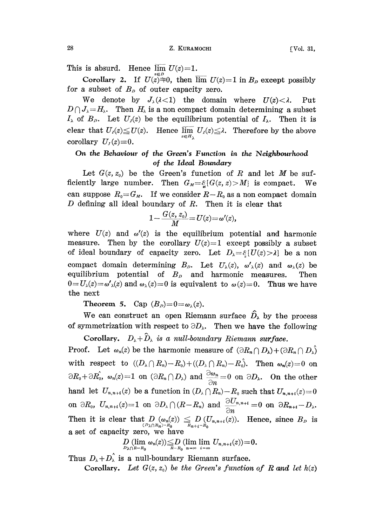This is absurd. Hence  $\overline{\lim} U(z)=1$ .

Corollary 2. If  $U(z)=0$ , then  $\overline{\lim} U(z)=1$  in  $B_p$  except possibly for a subset of  $B<sub>p</sub>$  of outer capacity zero.

We denote by  $J_{\lambda}(\lambda < 1)$  the domain where  $U(z) < \lambda$ . Put  $D \cap J_{\lambda} = H_{\lambda}$ . Then  $H_{\lambda}$  is a non compact domain determining a subset  $I_{\lambda}$  of  $B_{\rho}$ . Let  $U_{\nu}(z)$  be the equilibrium potential of  $I_{\lambda}$ . Then it is clear that  $U_I(z) \leq U(z)$ . Hence  $\overline{\lim}_{z \in H_{\lambda}} U_I(z) \leq \lambda$ . Therefore by the above corollary  $U_I(z) \equiv 0$ .

## On the Behaviour of the Green's Function in the Neighbourhood of the Ideal Boundary

Let  $G(z, z_0)$  be the Green's function of R and let M be sufficiently large number. Then  $G_M = \frac{C}{\epsilon}$   $(G(z, z) > M)$  is compact. We can suppose  $R_0 = G_M$ . If we consider  $R-R_0$  as a non compact domain D defining all ideal boundary of  $R$ . Then it is clear that

$$
1-\frac{G(z, z_0)}{M}=U(z)=\omega'(z),
$$

where  $U(z)$  and  $\omega'(z)$  is the equilibrium potential and harmonic measure. Then by the corollary  $U(z)=1$  except possibly a subset of ideal boundary of capacity zero. Let  $D_{\lambda}=\xi\{U(z)>\lambda\}$  be a non compact domain determining  $B_{\rho}$ . Let  $U_{\lambda}(z)$ ,  $\omega'_{\lambda}(z)$  and  $\omega_{\lambda}(z)$  be equilibrium potential of  $B<sub>p</sub>$  and harmonic measures. Then  $0=U_{\lambda}(z)=\omega'_{\lambda}(z)$  and  $\omega_{\lambda}(z)=0$  is equivalent to  $\omega(z)=0$ . Thus we have he next

Theorem 5. Cap  $(B<sub>D</sub>)=0=\omega_{\lambda}(z)$ .

We can construct an open Riemann surface  $\hat{D}_{\lambda}$  by the process of symmetrization with respect to  $\partial D_{\lambda}$ . Then we have the following

Corollary.  $D_{\lambda} + \hat{D}_{\lambda}$  is a null-boundary Riemann surface. **Proof.** Let  $\omega_n(z)$  be the harmonic measure of  $(\partial R_n \cap D_\lambda) + (\partial R_n \cap D_\lambda)$ with respect to  $((D_{\lambda}\cap R_{n})-R_{0}) + ((D_{\lambda}\cap R_{n})-R_{0})$ . Then  $\omega_{n}(z)=0$  on with respect to  $((D_{\lambda}+n_{n})-n_{0})+(\overline{(D_{\lambda}+n_{n})}-n_{0})$ . Then  $\omega_{n}(z)=0$  on<br>  $\partial R_{0}+\partial R_{0}^{2}$ ,  $\omega_{n}(z)=1$  on  $(\partial R_{n}\cap D_{\lambda})$  and  $\frac{\partial \omega_{n}}{\partial n}=0$  on  $\partial D_{\lambda}$ . On the other hand let  $U_{n,n+i}(z)$  be a function in  $(D_{\lambda}\bigcap R_{n})-R_{0}$  such that  $U_{n,n+i}(z)=0$ on  $\partial R_0$ ,  $U_{n,n+i}(z)=1$  on  $\partial D_\lambda \cap (R-R_n)$  and  $\frac{\partial U_{n,n+i}}{\partial n}=0$  on  $\partial R_{n+i}-D_\lambda$ . Then it is clear that  $D_{(D_{\lambda} \cap R_n) - R_0}(\omega_n(z)) \leq D_{(U_{n,n+1}(z))}$ . Hence, since  $B_D$  is a set of capacity zero, we have

$$
D_{D_{\lambda}\cap R-B_0}(\lim_{n\to\infty}\omega_n(z))\leq D_{R-B_0}(\lim_{n\to\infty}\lim_{i\to\infty}U_{n,n+i}(z))=0.
$$

Thus  $D_{\lambda}+D_{\lambda}^{'}$  is a null-boundary Riemann surface. Corollary. Let  $G(z, z_0)$  be the Green's function of R and let  $h(z)$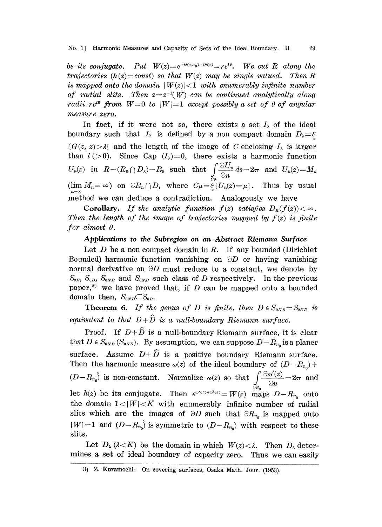be its conjugate. Put  $W(z) = e^{-G(z,z_0)-i\hbar(z)} = re^{i\theta}$ . We cut R along the trajectories ( $h(z) = const$ ) so that  $W(z)$  may be single valued. Then R is mapped onto the domain  $|W(z)| < 1$  with enumerably infinite number of radial slits. Then  $z=z^{-1}(W)$  can be continued analytically along radii re<sup>to</sup> from  $W=0$  to  $|W|=1$  except possibly a set of  $\theta$  of angular measure zero.

In fact, if it were not so, there exists a set  $I_{\lambda}$  of the ideal boundary such that  $I_{\lambda}$  is defined by a non compact domain  $D_{\lambda} = \xi$  ${G(z, z) > \lambda}$  and the length of the image of C enclosing  $I_{\lambda}$  is larger than  $l(>0)$ . Since Cap  $(I_{\lambda})=0$ , there exists a harmonic function  $U_n(z)$  in  $R-(R_n\cap D_\lambda)-R_0$  such that  $\int \frac{\partial U_n}{\partial x} ds=2\pi$  and  $U_n(z)=M_n$ (lim  $M_n = \infty$ ) on  $\partial R_n \cap D$ , where  $C\mu = \frac{C}{\varepsilon} \{U_n(z) = \mu\}$ . Thus by usual method we can deduce a contradiction. Analogously we have

**Corollary.** If the analytic function  $f(z)$  satisfies  $D<sub>R</sub>(f(z)) < \infty$ . Then the length of the image of trajectories mapped by  $f(z)$  is finite for almost  $\theta$ .

## Applications to the Subregion on an Abstract Riemann Surface

Let  $D$  be a non compact domain in  $R$ . If any bounded (Dirichlet Bounded) harmonic function vanishing on  $\partial D$  or having vanishing normal derivative on  $\partial D$  must reduce to a constant, we denote by  $S_{0B}$ ,  $S_{0D}$ ,  $S_{0NB}$  and  $S_{0ND}$  such class of D respectively. In the previous paper,<sup>3)</sup> we have proved that, if  $D$  can be mapped onto a bounded domain then,  $S_{0NB} \subset S_{0B}$ .

**Theorem 6.** If the genus of D is finite, then  $D \in S_{0NB} = S_{0NB}$  is equivalent to that  $D+\hat{D}$  is a null-boundary Riemann surface.

Proof. If  $D+\hat{D}$  is a null-boundary Riemann surface, it is clear that  $D \in S_{\omega_{NB}}(S_{\omega_{VD}})$ . By assumption, we can suppose  $D-R_{n_0}$  is a planer surface. Assume  $D+\hat{D}$  is a positive boundary Riemann surface. Then the harmonic measure  $\omega(z)$  of the ideal boundary of  $(D-R_{n_0})+$  $(D-R_{n_0})$  is non-constant. Normalize  $\omega(z)$  so that  $\int\limits_{\partial R_0} \frac{\partial \omega'(z)}{\partial n} = 2\pi$  and let  $h(z)$  be its conjugate. Then  $e^{\omega'(z)+i\hbar(z)}=W(z)$  maps  $D-R_{n_0}$  onto the domain  $1<|W|< K$  with enumerably infinite number of radial slits which are the images of  $\partial D$  such that  $\partial R_{n_0}$  is mapped onto  $|W| = 1$  and  $(D - R_{n_0})$  is symmetric to  $(D - R_{n_0})$  with respect to these slits.

Let  $D_{\lambda} (\lambda \langle K \rangle)$  be the domain in which  $W(z) \langle \lambda \rangle$ . Then  $D_{\lambda}$  determines a set of ideal boundary of capacity zero. Thus we can easily

<sup>3}</sup> z. Kuramochi- On covering surfaces, Osaka Math. Jour. (1953).